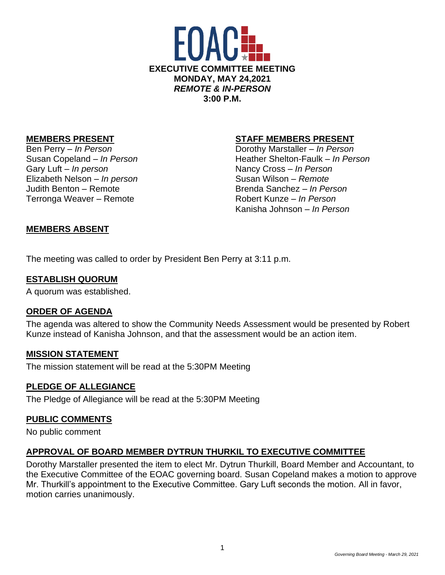

Gary Luft – *In person* Nancy Cross – *In Person* Elizabeth Nelson – *In person* Susan Wilson – *Remote* Judith Benton – Remote Brenda Sanchez – *In Person* Terronga Weaver – Remote **Robert Kunze** – *In Person* 

### **MEMBERS PRESENT STAFF MEMBERS PRESENT**

Ben Perry – *In Person* Dorothy Marstaller – *In Person* Susan Copeland – *In Person* Heather Shelton-Faulk – *In Person* Kanisha Johnson – *In Person*

### **MEMBERS ABSENT**

The meeting was called to order by President Ben Perry at 3:11 p.m.

#### **ESTABLISH QUORUM**

A quorum was established.

#### **ORDER OF AGENDA**

The agenda was altered to show the Community Needs Assessment would be presented by Robert Kunze instead of Kanisha Johnson, and that the assessment would be an action item.

#### **MISSION STATEMENT**

The mission statement will be read at the 5:30PM Meeting

### **PLEDGE OF ALLEGIANCE**

The Pledge of Allegiance will be read at the 5:30PM Meeting

### **PUBLIC COMMENTS**

No public comment

### **APPROVAL OF BOARD MEMBER DYTRUN THURKIL TO EXECUTIVE COMMITTEE**

Dorothy Marstaller presented the item to elect Mr. Dytrun Thurkill, Board Member and Accountant, to the Executive Committee of the EOAC governing board. Susan Copeland makes a motion to approve Mr. Thurkill's appointment to the Executive Committee. Gary Luft seconds the motion. All in favor, motion carries unanimously.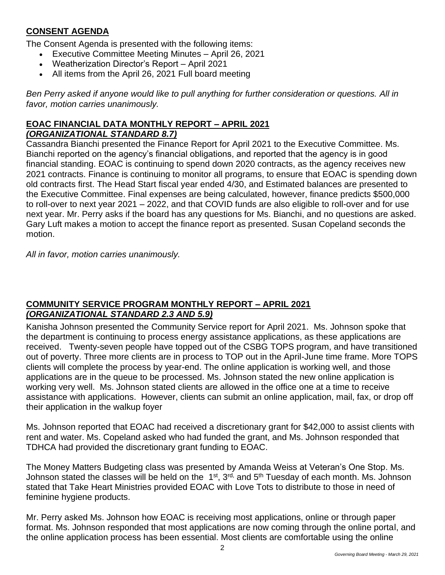# **CONSENT AGENDA**

The Consent Agenda is presented with the following items:

- Executive Committee Meeting Minutes April 26, 2021
- Weatherization Director's Report April 2021
- All items from the April 26, 2021 Full board meeting

*Ben Perry asked if anyone would like to pull anything for further consideration or questions. All in favor, motion carries unanimously.* 

## **EOAC FINANCIAL DATA MONTHLY REPORT – APRIL 2021** *(ORGANIZATIONAL STANDARD 8.7)*

Cassandra Bianchi presented the Finance Report for April 2021 to the Executive Committee. Ms. Bianchi reported on the agency's financial obligations, and reported that the agency is in good financial standing. EOAC is continuing to spend down 2020 contracts, as the agency receives new 2021 contracts. Finance is continuing to monitor all programs, to ensure that EOAC is spending down old contracts first. The Head Start fiscal year ended 4/30, and Estimated balances are presented to the Executive Committee. Final expenses are being calculated, however, finance predicts \$500,000 to roll-over to next year 2021 – 2022, and that COVID funds are also eligible to roll-over and for use next year. Mr. Perry asks if the board has any questions for Ms. Bianchi, and no questions are asked. Gary Luft makes a motion to accept the finance report as presented. Susan Copeland seconds the motion.

*All in favor, motion carries unanimously.* 

## **COMMUNITY SERVICE PROGRAM MONTHLY REPORT – APRIL 2021** *(ORGANIZATIONAL STANDARD 2.3 AND 5.9)*

Kanisha Johnson presented the Community Service report for April 2021. Ms. Johnson spoke that the department is continuing to process energy assistance applications, as these applications are received. Twenty-seven people have topped out of the CSBG TOPS program, and have transitioned out of poverty. Three more clients are in process to TOP out in the April-June time frame. More TOPS clients will complete the process by year-end. The online application is working well, and those applications are in the queue to be processed. Ms. Johnson stated the new online application is working very well. Ms. Johnson stated clients are allowed in the office one at a time to receive assistance with applications. However, clients can submit an online application, mail, fax, or drop off their application in the walkup foyer

Ms. Johnson reported that EOAC had received a discretionary grant for \$42,000 to assist clients with rent and water. Ms. Copeland asked who had funded the grant, and Ms. Johnson responded that TDHCA had provided the discretionary grant funding to EOAC.

The Money Matters Budgeting class was presented by Amanda Weiss at Veteran's One Stop. Ms. Johnson stated the classes will be held on the 1<sup>st</sup>, 3<sup>rd,</sup> and 5<sup>th</sup> Tuesday of each month. Ms. Johnson stated that Take Heart Ministries provided EOAC with Love Tots to distribute to those in need of feminine hygiene products.

Mr. Perry asked Ms. Johnson how EOAC is receiving most applications, online or through paper format. Ms. Johnson responded that most applications are now coming through the online portal, and the online application process has been essential. Most clients are comfortable using the online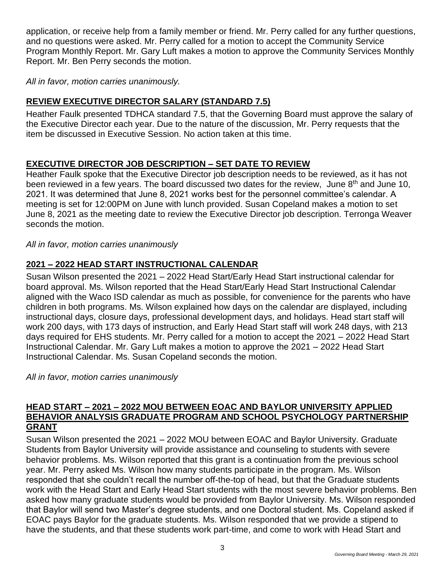application, or receive help from a family member or friend. Mr. Perry called for any further questions, and no questions were asked. Mr. Perry called for a motion to accept the Community Service Program Monthly Report. Mr. Gary Luft makes a motion to approve the Community Services Monthly Report. Mr. Ben Perry seconds the motion.

*All in favor, motion carries unanimously.*

# **REVIEW EXECUTIVE DIRECTOR SALARY (STANDARD 7.5)**

Heather Faulk presented TDHCA standard 7.5, that the Governing Board must approve the salary of the Executive Director each year. Due to the nature of the discussion, Mr. Perry requests that the item be discussed in Executive Session. No action taken at this time.

# **EXECUTIVE DIRECTOR JOB DESCRIPTION – SET DATE TO REVIEW**

Heather Faulk spoke that the Executive Director job description needs to be reviewed, as it has not been reviewed in a few years. The board discussed two dates for the review, June 8<sup>th</sup> and June 10, 2021. It was determined that June 8, 2021 works best for the personnel committee's calendar. A meeting is set for 12:00PM on June with lunch provided. Susan Copeland makes a motion to set June 8, 2021 as the meeting date to review the Executive Director job description. Terronga Weaver seconds the motion.

*All in favor, motion carries unanimously*

# **2021 – 2022 HEAD START INSTRUCTIONAL CALENDAR**

Susan Wilson presented the 2021 – 2022 Head Start/Early Head Start instructional calendar for board approval. Ms. Wilson reported that the Head Start/Early Head Start Instructional Calendar aligned with the Waco ISD calendar as much as possible, for convenience for the parents who have children in both programs. Ms. Wilson explained how days on the calendar are displayed, including instructional days, closure days, professional development days, and holidays. Head start staff will work 200 days, with 173 days of instruction, and Early Head Start staff will work 248 days, with 213 days required for EHS students. Mr. Perry called for a motion to accept the 2021 – 2022 Head Start Instructional Calendar. Mr. Gary Luft makes a motion to approve the 2021 – 2022 Head Start Instructional Calendar. Ms. Susan Copeland seconds the motion.

*All in favor, motion carries unanimously*

#### **HEAD START – 2021 – 2022 MOU BETWEEN EOAC AND BAYLOR UNIVERSITY APPLIED BEHAVIOR ANALYSIS GRADUATE PROGRAM AND SCHOOL PSYCHOLOGY PARTNERSHIP GRANT**

Susan Wilson presented the 2021 – 2022 MOU between EOAC and Baylor University. Graduate Students from Baylor University will provide assistance and counseling to students with severe behavior problems. Ms. Wilson reported that this grant is a continuation from the previous school year. Mr. Perry asked Ms. Wilson how many students participate in the program. Ms. Wilson responded that she couldn't recall the number off-the-top of head, but that the Graduate students work with the Head Start and Early Head Start students with the most severe behavior problems. Ben asked how many graduate students would be provided from Baylor University. Ms. Wilson responded that Baylor will send two Master's degree students, and one Doctoral student. Ms. Copeland asked if EOAC pays Baylor for the graduate students. Ms. Wilson responded that we provide a stipend to have the students, and that these students work part-time, and come to work with Head Start and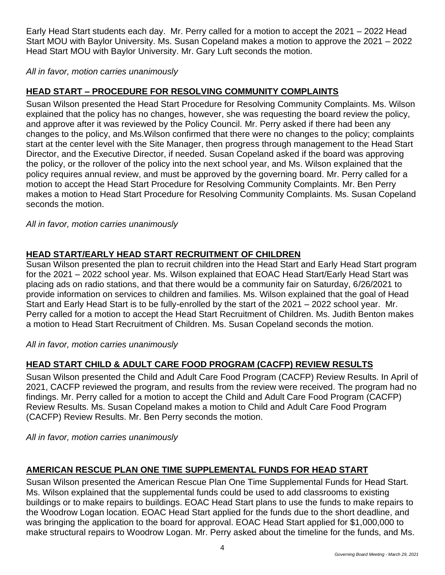Early Head Start students each day. Mr. Perry called for a motion to accept the 2021 – 2022 Head Start MOU with Baylor University. Ms. Susan Copeland makes a motion to approve the 2021 – 2022 Head Start MOU with Baylor University. Mr. Gary Luft seconds the motion.

*All in favor, motion carries unanimously*

# **HEAD START – PROCEDURE FOR RESOLVING COMMUNITY COMPLAINTS**

Susan Wilson presented the Head Start Procedure for Resolving Community Complaints. Ms. Wilson explained that the policy has no changes, however, she was requesting the board review the policy, and approve after it was reviewed by the Policy Council. Mr. Perry asked if there had been any changes to the policy, and Ms.Wilson confirmed that there were no changes to the policy; complaints start at the center level with the Site Manager, then progress through management to the Head Start Director, and the Executive Director, if needed. Susan Copeland asked if the board was approving the policy, or the rollover of the policy into the next school year, and Ms. Wilson explained that the policy requires annual review, and must be approved by the governing board. Mr. Perry called for a motion to accept the Head Start Procedure for Resolving Community Complaints. Mr. Ben Perry makes a motion to Head Start Procedure for Resolving Community Complaints. Ms. Susan Copeland seconds the motion.

*All in favor, motion carries unanimously*

# **HEAD START/EARLY HEAD START RECRUITMENT OF CHILDREN**

Susan Wilson presented the plan to recruit children into the Head Start and Early Head Start program for the 2021 – 2022 school year. Ms. Wilson explained that EOAC Head Start/Early Head Start was placing ads on radio stations, and that there would be a community fair on Saturday, 6/26/2021 to provide information on services to children and families. Ms. Wilson explained that the goal of Head Start and Early Head Start is to be fully-enrolled by the start of the 2021 – 2022 school year. Mr. Perry called for a motion to accept the Head Start Recruitment of Children. Ms. Judith Benton makes a motion to Head Start Recruitment of Children. Ms. Susan Copeland seconds the motion.

*All in favor, motion carries unanimously*

# **HEAD START CHILD & ADULT CARE FOOD PROGRAM (CACFP) REVIEW RESULTS**

Susan Wilson presented the Child and Adult Care Food Program (CACFP) Review Results. In April of 2021, CACFP reviewed the program, and results from the review were received. The program had no findings. Mr. Perry called for a motion to accept the Child and Adult Care Food Program (CACFP) Review Results. Ms. Susan Copeland makes a motion to Child and Adult Care Food Program (CACFP) Review Results. Mr. Ben Perry seconds the motion.

*All in favor, motion carries unanimously*

# **AMERICAN RESCUE PLAN ONE TIME SUPPLEMENTAL FUNDS FOR HEAD START**

Susan Wilson presented the American Rescue Plan One Time Supplemental Funds for Head Start. Ms. Wilson explained that the supplemental funds could be used to add classrooms to existing buildings or to make repairs to buildings. EOAC Head Start plans to use the funds to make repairs to the Woodrow Logan location. EOAC Head Start applied for the funds due to the short deadline, and was bringing the application to the board for approval. EOAC Head Start applied for \$1,000,000 to make structural repairs to Woodrow Logan. Mr. Perry asked about the timeline for the funds, and Ms.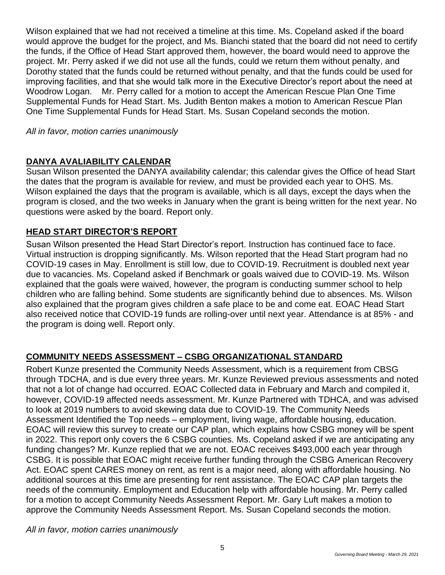Wilson explained that we had not received a timeline at this time. Ms. Copeland asked if the board would approve the budget for the project, and Ms. Bianchi stated that the board did not need to certify the funds, if the Office of Head Start approved them, however, the board would need to approve the project. Mr. Perry asked if we did not use all the funds, could we return them without penalty, and Dorothy stated that the funds could be returned without penalty, and that the funds could be used for improving facilities, and that she would talk more in the Executive Director's report about the need at Woodrow Logan. Mr. Perry called for a motion to accept the American Rescue Plan One Time Supplemental Funds for Head Start. Ms. Judith Benton makes a motion to American Rescue Plan One Time Supplemental Funds for Head Start. Ms. Susan Copeland seconds the motion.

*All in favor, motion carries unanimously*

## **DANYA AVALIABILITY CALENDAR**

Susan Wilson presented the DANYA availability calendar; this calendar gives the Office of head Start the dates that the program is available for review, and must be provided each year to OHS. Ms. Wilson explained the days that the program is available, which is all days, except the days when the program is closed, and the two weeks in January when the grant is being written for the next year. No questions were asked by the board. Report only.

## **HEAD START DIRECTOR'S REPORT**

Susan Wilson presented the Head Start Director's report. Instruction has continued face to face. Virtual instruction is dropping significantly. Ms. Wilson reported that the Head Start program had no COVID-19 cases in May. Enrollment is still low, due to COVID-19. Recruitment is doubled next year due to vacancies. Ms. Copeland asked if Benchmark or goals waived due to COVID-19. Ms. Wilson explained that the goals were waived, however, the program is conducting summer school to help children who are falling behind. Some students are significantly behind due to absences. Ms. Wilson also explained that the program gives children a safe place to be and come eat. EOAC Head Start also received notice that COVID-19 funds are rolling-over until next year. Attendance is at 85% - and the program is doing well. Report only.

# **COMMUNITY NEEDS ASSESSMENT – CSBG ORGANIZATIONAL STANDARD**

Robert Kunze presented the Community Needs Assessment, which is a requirement from CBSG through TDCHA, and is due every three years. Mr. Kunze Reviewed previous assessments and noted that not a lot of change had occurred. EOAC Collected data in February and March and compiled it, however, COVID-19 affected needs assessment. Mr. Kunze Partnered with TDHCA, and was advised to look at 2019 numbers to avoid skewing data due to COVID-19. The Community Needs Assessment Identified the Top needs – employment, living wage, affordable housing, education. EOAC will review this survey to create our CAP plan, which explains how CSBG money will be spent in 2022. This report only covers the 6 CSBG counties. Ms. Copeland asked if we are anticipating any funding changes? Mr. Kunze replied that we are not. EOAC receives \$493,000 each year through CSBG. It is possible that EOAC might receive further funding through the CSBG American Recovery Act. EOAC spent CARES money on rent, as rent is a major need, along with affordable housing. No additional sources at this time are presenting for rent assistance. The EOAC CAP plan targets the needs of the community. Employment and Education help with affordable housing. Mr. Perry called for a motion to accept Community Needs Assessment Report. Mr. Gary Luft makes a motion to approve the Community Needs Assessment Report. Ms. Susan Copeland seconds the motion.

*All in favor, motion carries unanimously*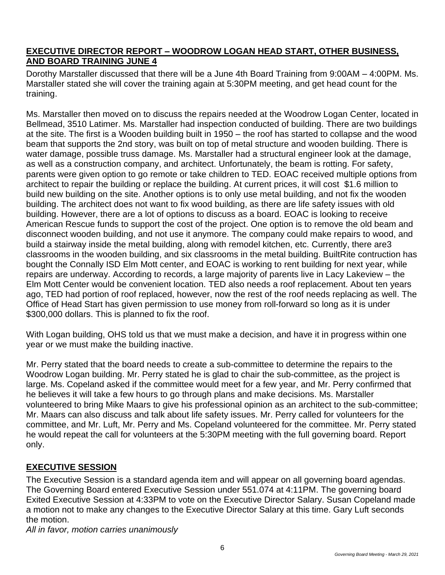## **EXECUTIVE DIRECTOR REPORT – WOODROW LOGAN HEAD START, OTHER BUSINESS, AND BOARD TRAINING JUNE 4**

Dorothy Marstaller discussed that there will be a June 4th Board Training from 9:00AM – 4:00PM. Ms. Marstaller stated she will cover the training again at 5:30PM meeting, and get head count for the training.

Ms. Marstaller then moved on to discuss the repairs needed at the Woodrow Logan Center, located in Bellmead, 3510 Latimer. Ms. Marstaller had inspection conducted of building. There are two buildings at the site. The first is a Wooden building built in 1950 – the roof has started to collapse and the wood beam that supports the 2nd story, was built on top of metal structure and wooden building. There is water damage, possible truss damage. Ms. Marstaller had a structural engineer look at the damage, as well as a construction company, and architect. Unfortunately, the beam is rotting. For safety, parents were given option to go remote or take children to TED. EOAC received multiple options from architect to repair the building or replace the building. At current prices, it will cost \$1.6 million to build new building on the site. Another options is to only use metal building, and not fix the wooden building. The architect does not want to fix wood building, as there are life safety issues with old building. However, there are a lot of options to discuss as a board. EOAC is looking to receive American Rescue funds to support the cost of the project. One option is to remove the old beam and disconnect wooden building, and not use it anymore. The company could make repairs to wood, and build a stairway inside the metal building, along with remodel kitchen, etc. Currently, there are3 classrooms in the wooden building, and six classrooms in the metal building. BuiltRite contruction has bought the Connally ISD Elm Mott center, and EOAC is working to rent building for next year, while repairs are underway. According to records, a large majority of parents live in Lacy Lakeview – the Elm Mott Center would be convenient location. TED also needs a roof replacement. About ten years ago, TED had portion of roof replaced, however, now the rest of the roof needs replacing as well. The Office of Head Start has given permission to use money from roll-forward so long as it is under \$300,000 dollars. This is planned to fix the roof.

With Logan building, OHS told us that we must make a decision, and have it in progress within one year or we must make the building inactive.

Mr. Perry stated that the board needs to create a sub-committee to determine the repairs to the Woodrow Logan building. Mr. Perry stated he is glad to chair the sub-committee, as the project is large. Ms. Copeland asked if the committee would meet for a few year, and Mr. Perry confirmed that he believes it will take a few hours to go through plans and make decisions. Ms. Marstaller volunteered to bring Mike Maars to give his professional opinion as an architect to the sub-committee; Mr. Maars can also discuss and talk about life safety issues. Mr. Perry called for volunteers for the committee, and Mr. Luft, Mr. Perry and Ms. Copeland volunteered for the committee. Mr. Perry stated he would repeat the call for volunteers at the 5:30PM meeting with the full governing board. Report only.

# **EXECUTIVE SESSION**

The Executive Session is a standard agenda item and will appear on all governing board agendas. The Governing Board entered Executive Session under 551.074 at 4:11PM. The governing board Exited Executive Session at 4:33PM to vote on the Executive Director Salary. Susan Copeland made a motion not to make any changes to the Executive Director Salary at this time. Gary Luft seconds the motion.

*All in favor, motion carries unanimously*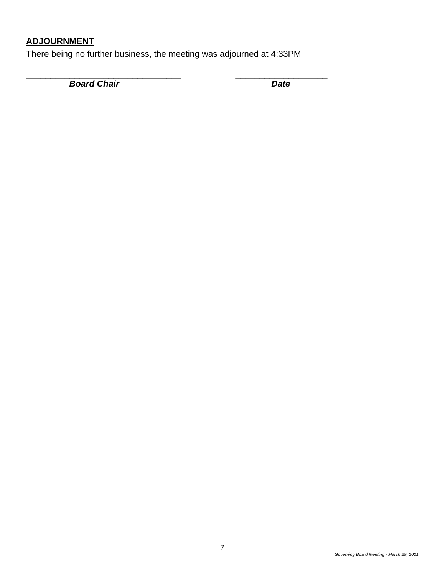# **ADJOURNMENT**

There being no further business, the meeting was adjourned at 4:33PM

\_\_\_\_\_\_\_\_\_\_\_\_\_\_\_\_\_\_\_\_\_\_\_\_\_\_\_\_\_\_\_\_ \_\_\_\_\_\_\_\_\_\_\_\_\_\_\_\_\_\_\_

**Board Chair** Date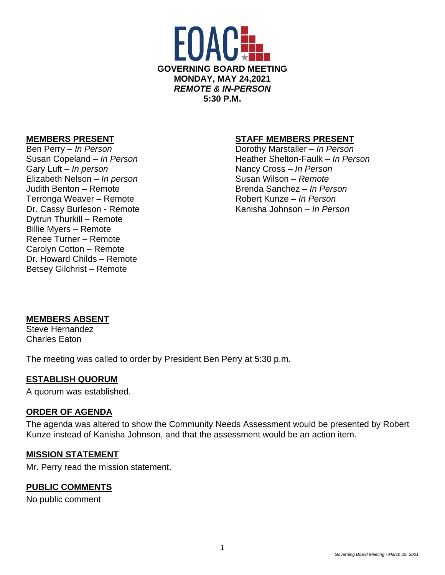

Gary Luft – *In person* Nancy Cross – *In Person* Elizabeth Nelson – *In person* Susan Wilson – *Remote* Judith Benton – Remote Brenda Sanchez – *In Person* Terronga Weaver – Remote **Robert Kunze** – *In Person* Dr. Cassy Burleson - Remote Kanisha Johnson – *In Person* Dytrun Thurkill – Remote Billie Myers – Remote Renee Turner – Remote Carolyn Cotton – Remote Dr. Howard Childs – Remote Betsey Gilchrist – Remote

### **MEMBERS PRESENT STAFF MEMBERS PRESENT**

Ben Perry – *In Person* Dorothy Marstaller – *In Person* Susan Copeland – *In Person* **Heather Shelton-Faulk –** *In Person* 

### **MEMBERS ABSENT**

Steve Hernandez Charles Eaton

The meeting was called to order by President Ben Perry at 5:30 p.m.

### **ESTABLISH QUORUM**

A quorum was established.

#### **ORDER OF AGENDA**

The agenda was altered to show the Community Needs Assessment would be presented by Robert Kunze instead of Kanisha Johnson, and that the assessment would be an action item.

#### **MISSION STATEMENT**

Mr. Perry read the mission statement.

### **PUBLIC COMMENTS**

No public comment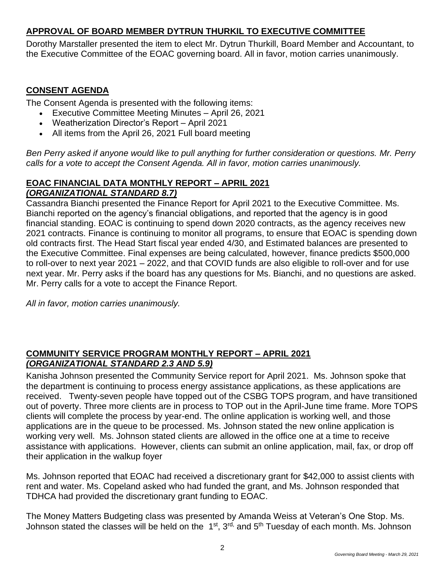# **APPROVAL OF BOARD MEMBER DYTRUN THURKIL TO EXECUTIVE COMMITTEE**

Dorothy Marstaller presented the item to elect Mr. Dytrun Thurkill, Board Member and Accountant, to the Executive Committee of the EOAC governing board. All in favor, motion carries unanimously.

## **CONSENT AGENDA**

The Consent Agenda is presented with the following items:

- Executive Committee Meeting Minutes April 26, 2021
- Weatherization Director's Report April 2021
- All items from the April 26, 2021 Full board meeting

*Ben Perry asked if anyone would like to pull anything for further consideration or questions. Mr. Perry calls for a vote to accept the Consent Agenda. All in favor, motion carries unanimously.* 

## **EOAC FINANCIAL DATA MONTHLY REPORT – APRIL 2021** *(ORGANIZATIONAL STANDARD 8.7)*

Cassandra Bianchi presented the Finance Report for April 2021 to the Executive Committee. Ms. Bianchi reported on the agency's financial obligations, and reported that the agency is in good financial standing. EOAC is continuing to spend down 2020 contracts, as the agency receives new 2021 contracts. Finance is continuing to monitor all programs, to ensure that EOAC is spending down old contracts first. The Head Start fiscal year ended 4/30, and Estimated balances are presented to the Executive Committee. Final expenses are being calculated, however, finance predicts \$500,000 to roll-over to next year 2021 – 2022, and that COVID funds are also eligible to roll-over and for use next year. Mr. Perry asks if the board has any questions for Ms. Bianchi, and no questions are asked. Mr. Perry calls for a vote to accept the Finance Report.

*All in favor, motion carries unanimously.* 

## **COMMUNITY SERVICE PROGRAM MONTHLY REPORT – APRIL 2021** *(ORGANIZATIONAL STANDARD 2.3 AND 5.9)*

Kanisha Johnson presented the Community Service report for April 2021. Ms. Johnson spoke that the department is continuing to process energy assistance applications, as these applications are received. Twenty-seven people have topped out of the CSBG TOPS program, and have transitioned out of poverty. Three more clients are in process to TOP out in the April-June time frame. More TOPS clients will complete the process by year-end. The online application is working well, and those applications are in the queue to be processed. Ms. Johnson stated the new online application is working very well. Ms. Johnson stated clients are allowed in the office one at a time to receive assistance with applications. However, clients can submit an online application, mail, fax, or drop off their application in the walkup foyer

Ms. Johnson reported that EOAC had received a discretionary grant for \$42,000 to assist clients with rent and water. Ms. Copeland asked who had funded the grant, and Ms. Johnson responded that TDHCA had provided the discretionary grant funding to EOAC.

The Money Matters Budgeting class was presented by Amanda Weiss at Veteran's One Stop. Ms. Johnson stated the classes will be held on the 1<sup>st</sup>, 3<sup>rd,</sup> and 5<sup>th</sup> Tuesday of each month. Ms. Johnson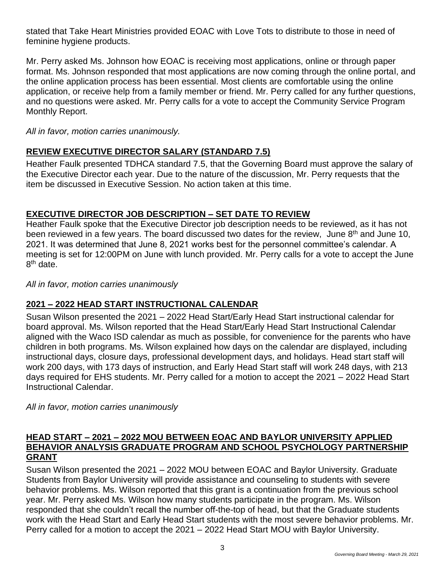stated that Take Heart Ministries provided EOAC with Love Tots to distribute to those in need of feminine hygiene products.

Mr. Perry asked Ms. Johnson how EOAC is receiving most applications, online or through paper format. Ms. Johnson responded that most applications are now coming through the online portal, and the online application process has been essential. Most clients are comfortable using the online application, or receive help from a family member or friend. Mr. Perry called for any further questions, and no questions were asked. Mr. Perry calls for a vote to accept the Community Service Program Monthly Report.

*All in favor, motion carries unanimously.*

# **REVIEW EXECUTIVE DIRECTOR SALARY (STANDARD 7.5)**

Heather Faulk presented TDHCA standard 7.5, that the Governing Board must approve the salary of the Executive Director each year. Due to the nature of the discussion, Mr. Perry requests that the item be discussed in Executive Session. No action taken at this time.

## **EXECUTIVE DIRECTOR JOB DESCRIPTION – SET DATE TO REVIEW**

Heather Faulk spoke that the Executive Director job description needs to be reviewed, as it has not been reviewed in a few years. The board discussed two dates for the review, June 8<sup>th</sup> and June 10, 2021. It was determined that June 8, 2021 works best for the personnel committee's calendar. A meeting is set for 12:00PM on June with lunch provided. Mr. Perry calls for a vote to accept the June 8<sup>th</sup> date.

*All in favor, motion carries unanimously*

# **2021 – 2022 HEAD START INSTRUCTIONAL CALENDAR**

Susan Wilson presented the 2021 – 2022 Head Start/Early Head Start instructional calendar for board approval. Ms. Wilson reported that the Head Start/Early Head Start Instructional Calendar aligned with the Waco ISD calendar as much as possible, for convenience for the parents who have children in both programs. Ms. Wilson explained how days on the calendar are displayed, including instructional days, closure days, professional development days, and holidays. Head start staff will work 200 days, with 173 days of instruction, and Early Head Start staff will work 248 days, with 213 days required for EHS students. Mr. Perry called for a motion to accept the 2021 – 2022 Head Start Instructional Calendar.

*All in favor, motion carries unanimously*

## **HEAD START – 2021 – 2022 MOU BETWEEN EOAC AND BAYLOR UNIVERSITY APPLIED BEHAVIOR ANALYSIS GRADUATE PROGRAM AND SCHOOL PSYCHOLOGY PARTNERSHIP GRANT**

Susan Wilson presented the 2021 – 2022 MOU between EOAC and Baylor University. Graduate Students from Baylor University will provide assistance and counseling to students with severe behavior problems. Ms. Wilson reported that this grant is a continuation from the previous school year. Mr. Perry asked Ms. Wilson how many students participate in the program. Ms. Wilson responded that she couldn't recall the number off-the-top of head, but that the Graduate students work with the Head Start and Early Head Start students with the most severe behavior problems. Mr. Perry called for a motion to accept the 2021 – 2022 Head Start MOU with Baylor University.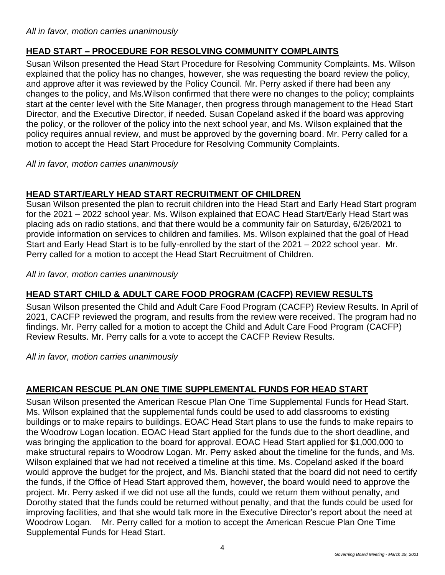# **HEAD START – PROCEDURE FOR RESOLVING COMMUNITY COMPLAINTS**

Susan Wilson presented the Head Start Procedure for Resolving Community Complaints. Ms. Wilson explained that the policy has no changes, however, she was requesting the board review the policy, and approve after it was reviewed by the Policy Council. Mr. Perry asked if there had been any changes to the policy, and Ms.Wilson confirmed that there were no changes to the policy; complaints start at the center level with the Site Manager, then progress through management to the Head Start Director, and the Executive Director, if needed. Susan Copeland asked if the board was approving the policy, or the rollover of the policy into the next school year, and Ms. Wilson explained that the policy requires annual review, and must be approved by the governing board. Mr. Perry called for a motion to accept the Head Start Procedure for Resolving Community Complaints.

*All in favor, motion carries unanimously*

# **HEAD START/EARLY HEAD START RECRUITMENT OF CHILDREN**

Susan Wilson presented the plan to recruit children into the Head Start and Early Head Start program for the 2021 – 2022 school year. Ms. Wilson explained that EOAC Head Start/Early Head Start was placing ads on radio stations, and that there would be a community fair on Saturday, 6/26/2021 to provide information on services to children and families. Ms. Wilson explained that the goal of Head Start and Early Head Start is to be fully-enrolled by the start of the 2021 – 2022 school year. Mr. Perry called for a motion to accept the Head Start Recruitment of Children.

*All in favor, motion carries unanimously*

# **HEAD START CHILD & ADULT CARE FOOD PROGRAM (CACFP) REVIEW RESULTS**

Susan Wilson presented the Child and Adult Care Food Program (CACFP) Review Results. In April of 2021, CACFP reviewed the program, and results from the review were received. The program had no findings. Mr. Perry called for a motion to accept the Child and Adult Care Food Program (CACFP) Review Results. Mr. Perry calls for a vote to accept the CACFP Review Results.

*All in favor, motion carries unanimously*

# **AMERICAN RESCUE PLAN ONE TIME SUPPLEMENTAL FUNDS FOR HEAD START**

Susan Wilson presented the American Rescue Plan One Time Supplemental Funds for Head Start. Ms. Wilson explained that the supplemental funds could be used to add classrooms to existing buildings or to make repairs to buildings. EOAC Head Start plans to use the funds to make repairs to the Woodrow Logan location. EOAC Head Start applied for the funds due to the short deadline, and was bringing the application to the board for approval. EOAC Head Start applied for \$1,000,000 to make structural repairs to Woodrow Logan. Mr. Perry asked about the timeline for the funds, and Ms. Wilson explained that we had not received a timeline at this time. Ms. Copeland asked if the board would approve the budget for the project, and Ms. Bianchi stated that the board did not need to certify the funds, if the Office of Head Start approved them, however, the board would need to approve the project. Mr. Perry asked if we did not use all the funds, could we return them without penalty, and Dorothy stated that the funds could be returned without penalty, and that the funds could be used for improving facilities, and that she would talk more in the Executive Director's report about the need at Woodrow Logan. Mr. Perry called for a motion to accept the American Rescue Plan One Time Supplemental Funds for Head Start.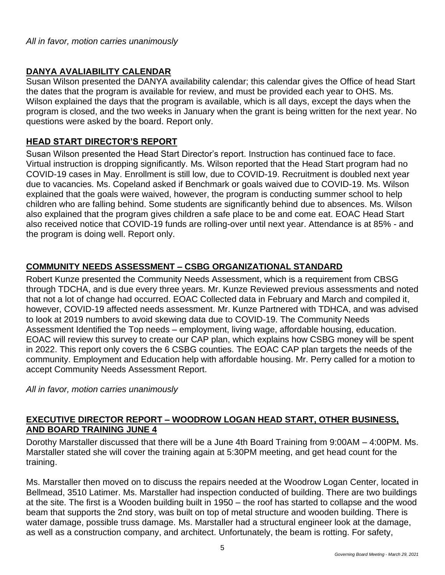## **DANYA AVALIABILITY CALENDAR**

Susan Wilson presented the DANYA availability calendar; this calendar gives the Office of head Start the dates that the program is available for review, and must be provided each year to OHS. Ms. Wilson explained the days that the program is available, which is all days, except the days when the program is closed, and the two weeks in January when the grant is being written for the next year. No questions were asked by the board. Report only.

## **HEAD START DIRECTOR'S REPORT**

Susan Wilson presented the Head Start Director's report. Instruction has continued face to face. Virtual instruction is dropping significantly. Ms. Wilson reported that the Head Start program had no COVID-19 cases in May. Enrollment is still low, due to COVID-19. Recruitment is doubled next year due to vacancies. Ms. Copeland asked if Benchmark or goals waived due to COVID-19. Ms. Wilson explained that the goals were waived, however, the program is conducting summer school to help children who are falling behind. Some students are significantly behind due to absences. Ms. Wilson also explained that the program gives children a safe place to be and come eat. EOAC Head Start also received notice that COVID-19 funds are rolling-over until next year. Attendance is at 85% - and the program is doing well. Report only.

# **COMMUNITY NEEDS ASSESSMENT – CSBG ORGANIZATIONAL STANDARD**

Robert Kunze presented the Community Needs Assessment, which is a requirement from CBSG through TDCHA, and is due every three years. Mr. Kunze Reviewed previous assessments and noted that not a lot of change had occurred. EOAC Collected data in February and March and compiled it, however, COVID-19 affected needs assessment. Mr. Kunze Partnered with TDHCA, and was advised to look at 2019 numbers to avoid skewing data due to COVID-19. The Community Needs Assessment Identified the Top needs – employment, living wage, affordable housing, education. EOAC will review this survey to create our CAP plan, which explains how CSBG money will be spent in 2022. This report only covers the 6 CSBG counties. The EOAC CAP plan targets the needs of the community. Employment and Education help with affordable housing. Mr. Perry called for a motion to accept Community Needs Assessment Report.

*All in favor, motion carries unanimously*

## **EXECUTIVE DIRECTOR REPORT – WOODROW LOGAN HEAD START, OTHER BUSINESS, AND BOARD TRAINING JUNE 4**

Dorothy Marstaller discussed that there will be a June 4th Board Training from 9:00AM – 4:00PM. Ms. Marstaller stated she will cover the training again at 5:30PM meeting, and get head count for the training.

Ms. Marstaller then moved on to discuss the repairs needed at the Woodrow Logan Center, located in Bellmead, 3510 Latimer. Ms. Marstaller had inspection conducted of building. There are two buildings at the site. The first is a Wooden building built in 1950 – the roof has started to collapse and the wood beam that supports the 2nd story, was built on top of metal structure and wooden building. There is water damage, possible truss damage. Ms. Marstaller had a structural engineer look at the damage, as well as a construction company, and architect. Unfortunately, the beam is rotting. For safety,